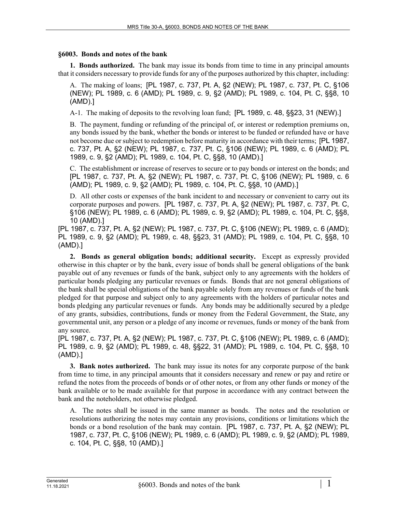## **§6003. Bonds and notes of the bank**

**1. Bonds authorized.** The bank may issue its bonds from time to time in any principal amounts that it considers necessary to provide funds for any of the purposes authorized by this chapter, including:

A. The making of loans; [PL 1987, c. 737, Pt. A, §2 (NEW); PL 1987, c. 737, Pt. C, §106 (NEW); PL 1989, c. 6 (AMD); PL 1989, c. 9, §2 (AMD); PL 1989, c. 104, Pt. C, §§8, 10 (AMD).]

A-1. The making of deposits to the revolving loan fund; [PL 1989, c. 48, §§23, 31 (NEW).]

B. The payment, funding or refunding of the principal of, or interest or redemption premiums on, any bonds issued by the bank, whether the bonds or interest to be funded or refunded have or have not become due or subject to redemption before maturity in accordance with their terms; [PL 1987, c. 737, Pt. A, §2 (NEW); PL 1987, c. 737, Pt. C, §106 (NEW); PL 1989, c. 6 (AMD); PL 1989, c. 9, §2 (AMD); PL 1989, c. 104, Pt. C, §§8, 10 (AMD).]

C. The establishment or increase of reserves to secure or to pay bonds or interest on the bonds; and [PL 1987, c. 737, Pt. A, §2 (NEW); PL 1987, c. 737, Pt. C, §106 (NEW); PL 1989, c. 6 (AMD); PL 1989, c. 9, §2 (AMD); PL 1989, c. 104, Pt. C, §§8, 10 (AMD).]

D. All other costs or expenses of the bank incident to and necessary or convenient to carry out its corporate purposes and powers. [PL 1987, c. 737, Pt. A, §2 (NEW); PL 1987, c. 737, Pt. C, §106 (NEW); PL 1989, c. 6 (AMD); PL 1989, c. 9, §2 (AMD); PL 1989, c. 104, Pt. C, §§8, 10 (AMD).]

[PL 1987, c. 737, Pt. A, §2 (NEW); PL 1987, c. 737, Pt. C, §106 (NEW); PL 1989, c. 6 (AMD); PL 1989, c. 9, §2 (AMD); PL 1989, c. 48, §§23, 31 (AMD); PL 1989, c. 104, Pt. C, §§8, 10 (AMD).]

**2. Bonds as general obligation bonds; additional security.** Except as expressly provided otherwise in this chapter or by the bank, every issue of bonds shall be general obligations of the bank payable out of any revenues or funds of the bank, subject only to any agreements with the holders of particular bonds pledging any particular revenues or funds. Bonds that are not general obligations of the bank shall be special obligations of the bank payable solely from any revenues or funds of the bank pledged for that purpose and subject only to any agreements with the holders of particular notes and bonds pledging any particular revenues or funds. Any bonds may be additionally secured by a pledge of any grants, subsidies, contributions, funds or money from the Federal Government, the State, any governmental unit, any person or a pledge of any income or revenues, funds or money of the bank from any source.

[PL 1987, c. 737, Pt. A, §2 (NEW); PL 1987, c. 737, Pt. C, §106 (NEW); PL 1989, c. 6 (AMD); PL 1989, c. 9, §2 (AMD); PL 1989, c. 48, §§22, 31 (AMD); PL 1989, c. 104, Pt. C, §§8, 10 (AMD).]

**3. Bank notes authorized.** The bank may issue its notes for any corporate purpose of the bank from time to time, in any principal amounts that it considers necessary and renew or pay and retire or refund the notes from the proceeds of bonds or of other notes, or from any other funds or money of the bank available or to be made available for that purpose in accordance with any contract between the bank and the noteholders, not otherwise pledged.

A. The notes shall be issued in the same manner as bonds. The notes and the resolution or resolutions authorizing the notes may contain any provisions, conditions or limitations which the bonds or a bond resolution of the bank may contain. [PL 1987, c. 737, Pt. A, §2 (NEW); PL 1987, c. 737, Pt. C, §106 (NEW); PL 1989, c. 6 (AMD); PL 1989, c. 9, §2 (AMD); PL 1989, c. 104, Pt. C, §§8, 10 (AMD).]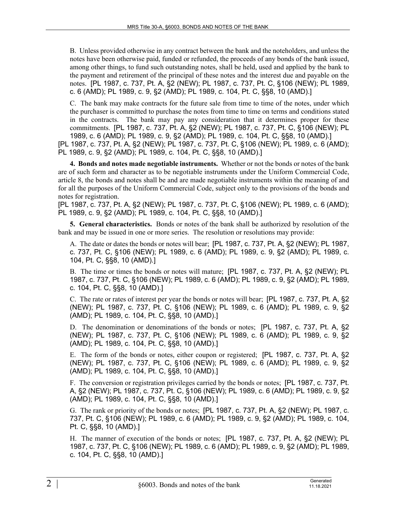B. Unless provided otherwise in any contract between the bank and the noteholders, and unless the notes have been otherwise paid, funded or refunded, the proceeds of any bonds of the bank issued, among other things, to fund such outstanding notes, shall be held, used and applied by the bank to the payment and retirement of the principal of these notes and the interest due and payable on the notes. [PL 1987, c. 737, Pt. A, §2 (NEW); PL 1987, c. 737, Pt. C, §106 (NEW); PL 1989, c. 6 (AMD); PL 1989, c. 9, §2 (AMD); PL 1989, c. 104, Pt. C, §§8, 10 (AMD).]

C. The bank may make contracts for the future sale from time to time of the notes, under which the purchaser is committed to purchase the notes from time to time on terms and conditions stated in the contracts. The bank may pay any consideration that it determines proper for these commitments. [PL 1987, c. 737, Pt. A, §2 (NEW); PL 1987, c. 737, Pt. C, §106 (NEW); PL 1989, c. 6 (AMD); PL 1989, c. 9, §2 (AMD); PL 1989, c. 104, Pt. C, §§8, 10 (AMD).]

[PL 1987, c. 737, Pt. A, §2 (NEW); PL 1987, c. 737, Pt. C, §106 (NEW); PL 1989, c. 6 (AMD); PL 1989, c. 9, §2 (AMD); PL 1989, c. 104, Pt. C, §§8, 10 (AMD).]

**4. Bonds and notes made negotiable instruments.** Whether or not the bonds or notes of the bank are of such form and character as to be negotiable instruments under the Uniform Commercial Code, article 8, the bonds and notes shall be and are made negotiable instruments within the meaning of and for all the purposes of the Uniform Commercial Code, subject only to the provisions of the bonds and notes for registration.

[PL 1987, c. 737, Pt. A, §2 (NEW); PL 1987, c. 737, Pt. C, §106 (NEW); PL 1989, c. 6 (AMD); PL 1989, c. 9, §2 (AMD); PL 1989, c. 104, Pt. C, §§8, 10 (AMD).]

**5. General characteristics.** Bonds or notes of the bank shall be authorized by resolution of the bank and may be issued in one or more series. The resolution or resolutions may provide:

A. The date or dates the bonds or notes will bear; [PL 1987, c. 737, Pt. A, §2 (NEW); PL 1987, c. 737, Pt. C, §106 (NEW); PL 1989, c. 6 (AMD); PL 1989, c. 9, §2 (AMD); PL 1989, c. 104, Pt. C, §§8, 10 (AMD).]

B. The time or times the bonds or notes will mature; [PL 1987, c. 737, Pt. A, §2 (NEW); PL 1987, c. 737, Pt. C, §106 (NEW); PL 1989, c. 6 (AMD); PL 1989, c. 9, §2 (AMD); PL 1989, c. 104, Pt. C, §§8, 10 (AMD).]

C. The rate or rates of interest per year the bonds or notes will bear; [PL 1987, c. 737, Pt. A, §2 (NEW); PL 1987, c. 737, Pt. C, §106 (NEW); PL 1989, c. 6 (AMD); PL 1989, c. 9, §2 (AMD); PL 1989, c. 104, Pt. C, §§8, 10 (AMD).]

D. The denomination or denominations of the bonds or notes; [PL 1987, c. 737, Pt. A, §2 (NEW); PL 1987, c. 737, Pt. C, §106 (NEW); PL 1989, c. 6 (AMD); PL 1989, c. 9, §2 (AMD); PL 1989, c. 104, Pt. C, §§8, 10 (AMD).]

E. The form of the bonds or notes, either coupon or registered; [PL 1987, c. 737, Pt. A, §2 (NEW); PL 1987, c. 737, Pt. C, §106 (NEW); PL 1989, c. 6 (AMD); PL 1989, c. 9, §2 (AMD); PL 1989, c. 104, Pt. C, §§8, 10 (AMD).]

F. The conversion or registration privileges carried by the bonds or notes; [PL 1987, c. 737, Pt. A, §2 (NEW); PL 1987, c. 737, Pt. C, §106 (NEW); PL 1989, c. 6 (AMD); PL 1989, c. 9, §2 (AMD); PL 1989, c. 104, Pt. C, §§8, 10 (AMD).]

G. The rank or priority of the bonds or notes; [PL 1987, c. 737, Pt. A, §2 (NEW); PL 1987, c. 737, Pt. C, §106 (NEW); PL 1989, c. 6 (AMD); PL 1989, c. 9, §2 (AMD); PL 1989, c. 104, Pt. C, §§8, 10 (AMD).]

H. The manner of execution of the bonds or notes; [PL 1987, c. 737, Pt. A, §2 (NEW); PL 1987, c. 737, Pt. C, §106 (NEW); PL 1989, c. 6 (AMD); PL 1989, c. 9, §2 (AMD); PL 1989, c. 104, Pt. C, §§8, 10 (AMD).]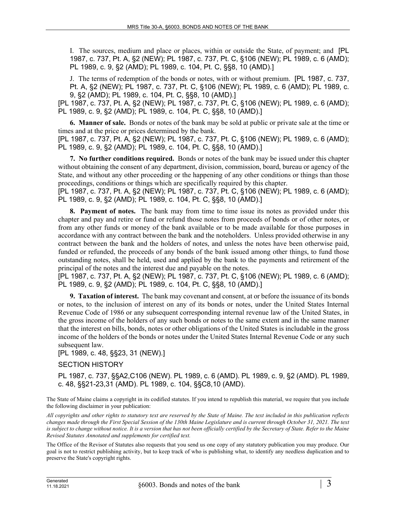I. The sources, medium and place or places, within or outside the State, of payment; and [PL 1987, c. 737, Pt. A, §2 (NEW); PL 1987, c. 737, Pt. C, §106 (NEW); PL 1989, c. 6 (AMD); PL 1989, c. 9, §2 (AMD); PL 1989, c. 104, Pt. C, §§8, 10 (AMD).]

J. The terms of redemption of the bonds or notes, with or without premium. [PL 1987, c. 737, Pt. A, §2 (NEW); PL 1987, c. 737, Pt. C, §106 (NEW); PL 1989, c. 6 (AMD); PL 1989, c. 9, §2 (AMD); PL 1989, c. 104, Pt. C, §§8, 10 (AMD).]

[PL 1987, c. 737, Pt. A, §2 (NEW); PL 1987, c. 737, Pt. C, §106 (NEW); PL 1989, c. 6 (AMD); PL 1989, c. 9, §2 (AMD); PL 1989, c. 104, Pt. C, §§8, 10 (AMD).]

**6. Manner of sale.** Bonds or notes of the bank may be sold at public or private sale at the time or times and at the price or prices determined by the bank.

[PL 1987, c. 737, Pt. A, §2 (NEW); PL 1987, c. 737, Pt. C, §106 (NEW); PL 1989, c. 6 (AMD); PL 1989, c. 9, §2 (AMD); PL 1989, c. 104, Pt. C, §§8, 10 (AMD).]

**7. No further conditions required.** Bonds or notes of the bank may be issued under this chapter without obtaining the consent of any department, division, commission, board, bureau or agency of the State, and without any other proceeding or the happening of any other conditions or things than those proceedings, conditions or things which are specifically required by this chapter.

[PL 1987, c. 737, Pt. A, §2 (NEW); PL 1987, c. 737, Pt. C, §106 (NEW); PL 1989, c. 6 (AMD); PL 1989, c. 9, §2 (AMD); PL 1989, c. 104, Pt. C, §§8, 10 (AMD).]

**8. Payment of notes.** The bank may from time to time issue its notes as provided under this chapter and pay and retire or fund or refund those notes from proceeds of bonds or of other notes, or from any other funds or money of the bank available or to be made available for those purposes in accordance with any contract between the bank and the noteholders. Unless provided otherwise in any contract between the bank and the holders of notes, and unless the notes have been otherwise paid, funded or refunded, the proceeds of any bonds of the bank issued among other things, to fund those outstanding notes, shall be held, used and applied by the bank to the payments and retirement of the principal of the notes and the interest due and payable on the notes.

[PL 1987, c. 737, Pt. A, §2 (NEW); PL 1987, c. 737, Pt. C, §106 (NEW); PL 1989, c. 6 (AMD); PL 1989, c. 9, §2 (AMD); PL 1989, c. 104, Pt. C, §§8, 10 (AMD).]

**9. Taxation of interest.** The bank may covenant and consent, at or before the issuance of its bonds or notes, to the inclusion of interest on any of its bonds or notes, under the United States Internal Revenue Code of 1986 or any subsequent corresponding internal revenue law of the United States, in the gross income of the holders of any such bonds or notes to the same extent and in the same manner that the interest on bills, bonds, notes or other obligations of the United States is includable in the gross income of the holders of the bonds or notes under the United States Internal Revenue Code or any such subsequent law.

[PL 1989, c. 48, §§23, 31 (NEW).]

## SECTION HISTORY

PL 1987, c. 737, §§A2,C106 (NEW). PL 1989, c. 6 (AMD). PL 1989, c. 9, §2 (AMD). PL 1989, c. 48, §§21-23,31 (AMD). PL 1989, c. 104, §§C8,10 (AMD).

The State of Maine claims a copyright in its codified statutes. If you intend to republish this material, we require that you include the following disclaimer in your publication:

*All copyrights and other rights to statutory text are reserved by the State of Maine. The text included in this publication reflects changes made through the First Special Session of the 130th Maine Legislature and is current through October 31, 2021. The text*  is subject to change without notice. It is a version that has not been officially certified by the Secretary of State. Refer to the Maine *Revised Statutes Annotated and supplements for certified text.*

The Office of the Revisor of Statutes also requests that you send us one copy of any statutory publication you may produce. Our goal is not to restrict publishing activity, but to keep track of who is publishing what, to identify any needless duplication and to preserve the State's copyright rights.